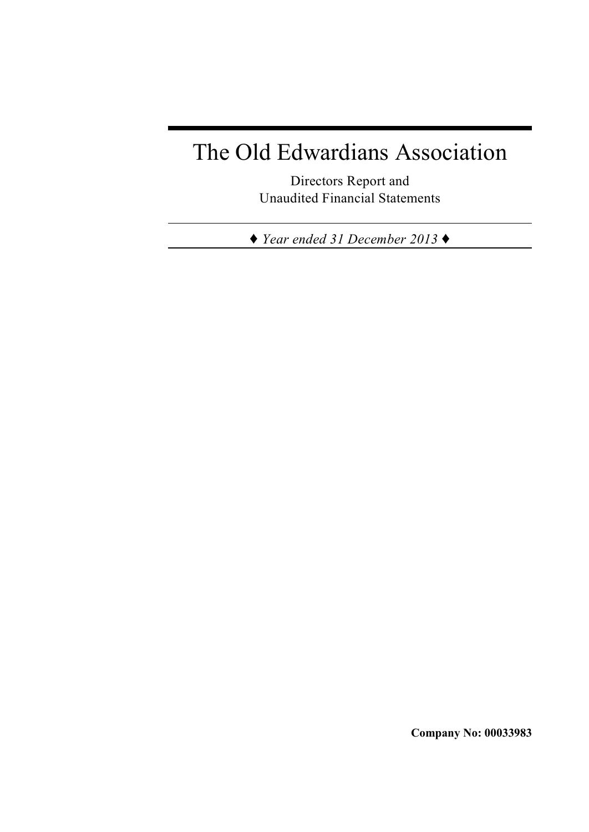# The Old Edwardians Association

Directors Report and Unaudited Financial Statements

*Ë Year ended 31 December 2013 Ë*

**Company No: 00033983**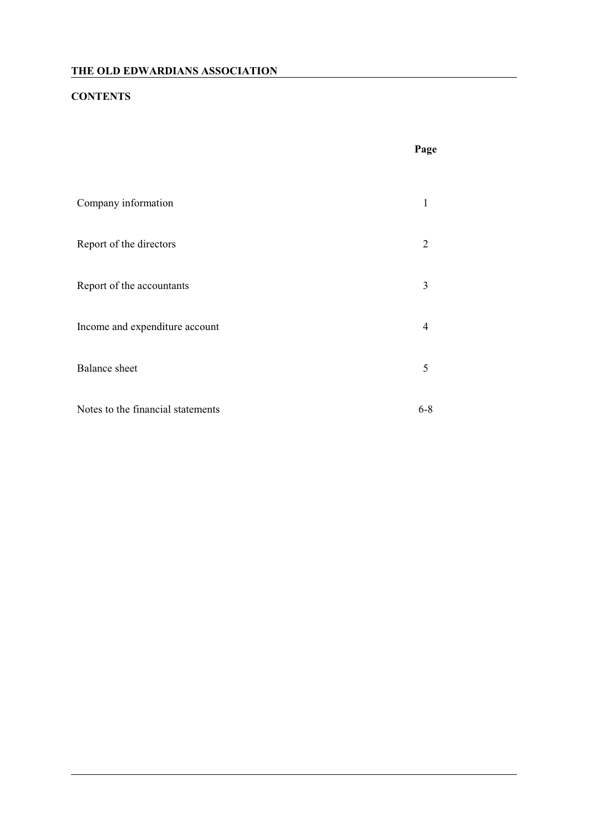# **CONTENTS**

|                                   | Page           |
|-----------------------------------|----------------|
| Company information               | 1              |
| Report of the directors           | 2              |
| Report of the accountants         | 3              |
| Income and expenditure account    | $\overline{4}$ |
| <b>Balance</b> sheet              | 5              |
| Notes to the financial statements | $6 - 8$        |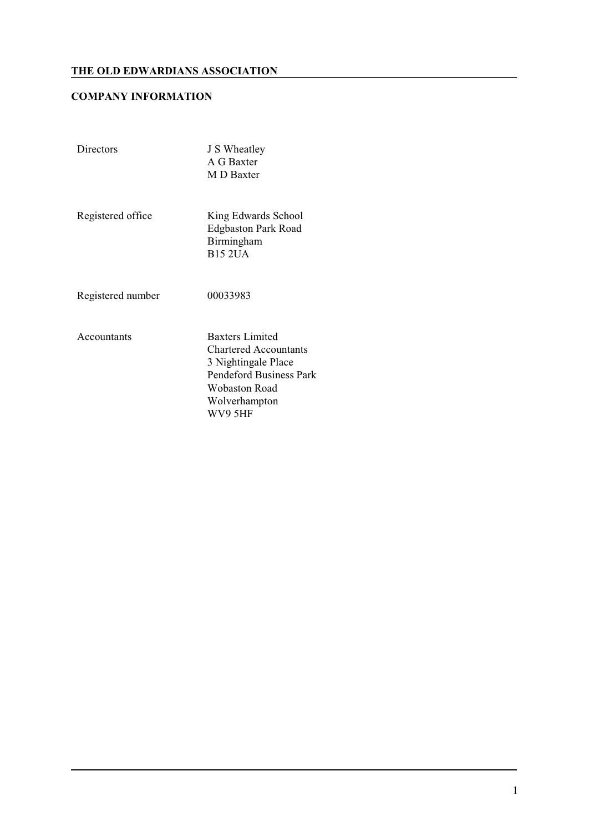## **COMPANY INFORMATION**

| Directors         | J S Wheatley<br>A G Baxter<br>M D Baxter                                                                                                                     |
|-------------------|--------------------------------------------------------------------------------------------------------------------------------------------------------------|
| Registered office | King Edwards School<br><b>Edgbaston Park Road</b><br>Birmingham<br><b>B15 2UA</b>                                                                            |
| Registered number | 00033983                                                                                                                                                     |
| Accountants       | <b>Baxters Limited</b><br><b>Chartered Accountants</b><br>3 Nightingale Place<br><b>Pendeford Business Park</b><br>Wobaston Road<br>Wolverhampton<br>WV9 5HF |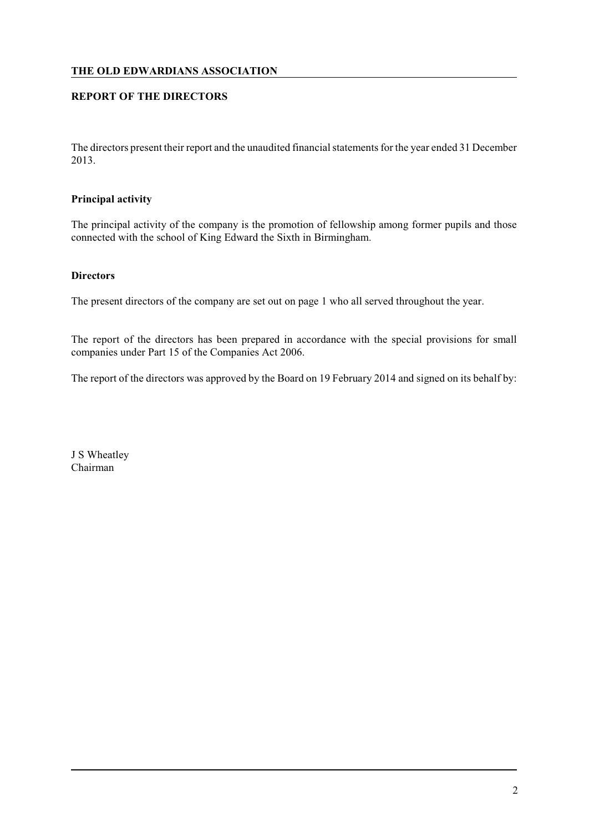## **REPORT OF THE DIRECTORS**

The directors present their report and the unaudited financial statements for the year ended 31 December 2013.

#### **Principal activity**

The principal activity of the company is the promotion of fellowship among former pupils and those connected with the school of King Edward the Sixth in Birmingham.

#### **Directors**

The present directors of the company are set out on page 1 who all served throughout the year.

The report of the directors has been prepared in accordance with the special provisions for small companies under Part 15 of the Companies Act 2006.

The report of the directors was approved by the Board on 19 February 2014 and signed on its behalf by:

J S Wheatley Chairman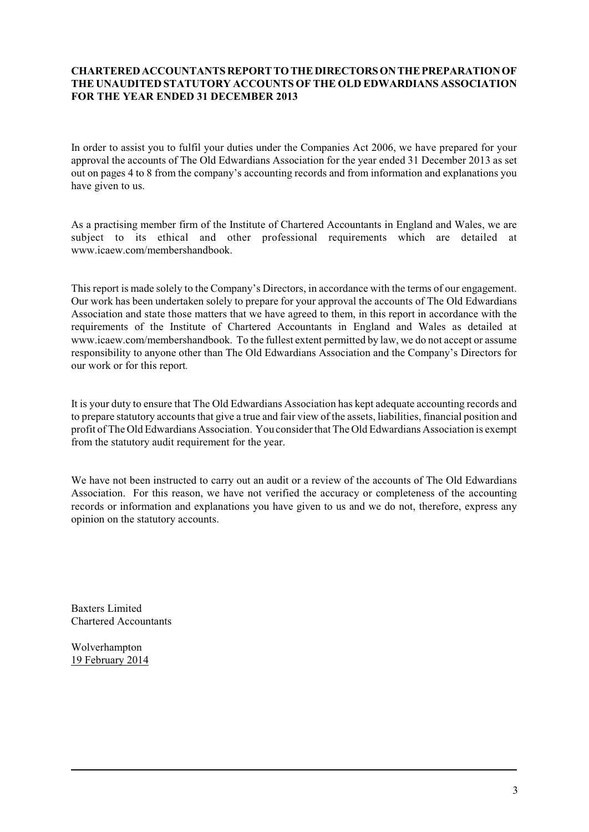#### **CHARTERED ACCOUNTANTS REPORT TO THE DIRECTORS ON THE PREPARATION OF THE UNAUDITED STATUTORY ACCOUNTS OF THE OLD EDWARDIANS ASSOCIATION FOR THE YEAR ENDED 31 DECEMBER 2013**

In order to assist you to fulfil your duties under the Companies Act 2006, we have prepared for your approval the accounts of The Old Edwardians Association for the year ended 31 December 2013 as set out on pages 4 to 8 from the company's accounting records and from information and explanations you have given to us.

As a practising member firm of the Institute of Chartered Accountants in England and Wales, we are subject to its ethical and other professional requirements which are detailed at www.icaew.com/membershandbook.

This report is made solely to the Company's Directors, in accordance with the terms of our engagement. Our work has been undertaken solely to prepare for your approval the accounts of The Old Edwardians Association and state those matters that we have agreed to them, in this report in accordance with the requirements of the Institute of Chartered Accountants in England and Wales as detailed at www.icaew.com/membershandbook. To the fullest extent permitted by law, we do not accept or assume responsibility to anyone other than The Old Edwardians Association and the Company's Directors for our work or for this report*.*

It is your duty to ensure that The Old Edwardians Association has kept adequate accounting records and to prepare statutory accounts that give a true and fair view of the assets, liabilities, financial position and profit of The Old Edwardians Association. You consider that The Old Edwardians Association is exempt from the statutory audit requirement for the year.

We have not been instructed to carry out an audit or a review of the accounts of The Old Edwardians Association. For this reason, we have not verified the accuracy or completeness of the accounting records or information and explanations you have given to us and we do not, therefore, express any opinion on the statutory accounts.

Baxters Limited Chartered Accountants

Wolverhampton 19 February 2014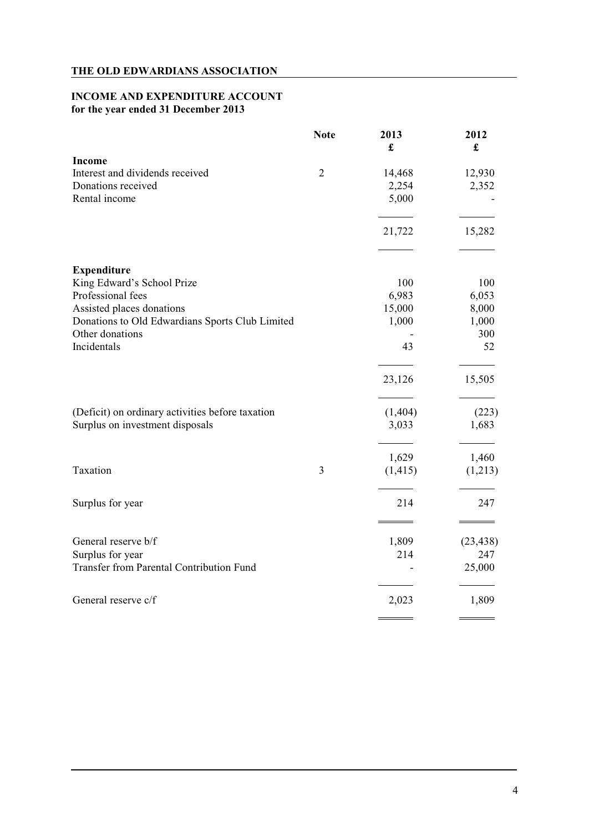## **INCOME AND EXPENDITURE ACCOUNT for the year ended 31 December 2013**

|                                                  | <b>Note</b>    | 2013<br>£ | 2012<br>£ |
|--------------------------------------------------|----------------|-----------|-----------|
| Income                                           |                |           |           |
| Interest and dividends received                  | $\overline{2}$ | 14,468    | 12,930    |
| Donations received                               |                | 2,254     | 2,352     |
| Rental income                                    |                | 5,000     |           |
|                                                  |                | 21,722    | 15,282    |
| <b>Expenditure</b>                               |                |           |           |
| King Edward's School Prize                       |                | 100       | 100       |
| Professional fees                                |                | 6,983     | 6,053     |
| Assisted places donations                        |                | 15,000    | 8,000     |
| Donations to Old Edwardians Sports Club Limited  |                | 1,000     | 1,000     |
| Other donations                                  |                |           | 300       |
| Incidentals                                      |                | 43        | 52        |
|                                                  |                | 23,126    | 15,505    |
| (Deficit) on ordinary activities before taxation |                | (1,404)   | (223)     |
| Surplus on investment disposals                  |                | 3,033     | 1,683     |
|                                                  |                | 1,629     | 1,460     |
| Taxation                                         | 3              | (1, 415)  | (1,213)   |
| Surplus for year                                 |                | 214       | 247       |
| General reserve b/f                              |                | 1,809     | (23, 438) |
| Surplus for year                                 |                | 214       | 247       |
| <b>Transfer from Parental Contribution Fund</b>  |                |           | 25,000    |
| General reserve c/f                              |                | 2,023     | 1,809     |
|                                                  |                |           |           |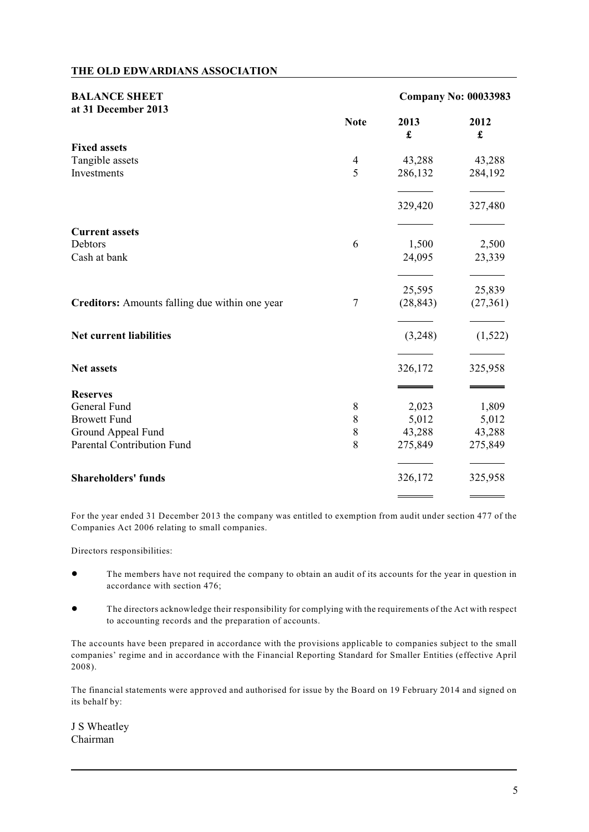| <b>BALANCE SHEET</b>                           |                  | <b>Company No: 00033983</b> |           |
|------------------------------------------------|------------------|-----------------------------|-----------|
| at 31 December 2013                            | <b>Note</b>      | 2013<br>£                   | 2012<br>£ |
| <b>Fixed assets</b>                            |                  |                             |           |
| Tangible assets                                | 4                | 43,288                      | 43,288    |
| Investments                                    | 5                | 286,132                     | 284,192   |
|                                                |                  | 329,420                     | 327,480   |
| <b>Current assets</b>                          |                  |                             |           |
| Debtors                                        | 6                | 1,500                       | 2,500     |
| Cash at bank                                   |                  | 24,095                      | 23,339    |
|                                                |                  | 25,595                      | 25,839    |
| Creditors: Amounts falling due within one year | $\boldsymbol{7}$ | (28, 843)                   | (27, 361) |
| <b>Net current liabilities</b>                 |                  | (3,248)                     | (1,522)   |
| <b>Net assets</b>                              |                  | 326,172                     | 325,958   |
| <b>Reserves</b>                                |                  |                             |           |
| General Fund                                   | 8                | 2,023                       | 1,809     |
| <b>Browett Fund</b>                            | 8                | 5,012                       | 5,012     |
| Ground Appeal Fund                             | $8\,$            | 43,288                      | 43,288    |
| <b>Parental Contribution Fund</b>              | 8                | 275,849                     | 275,849   |
| <b>Shareholders' funds</b>                     |                  | 326,172                     | 325,958   |
|                                                |                  |                             |           |

For the year ended 31 December 2013 the company was entitled to exemption from audit under section 477 of the Companies Act 2006 relating to small companies.

Directors responsibilities:

- ! The members have not required the company to obtain an audit of its accounts for the year in question in accordance with section 476;
- ! The directors acknowledge their responsibility for complying with the requirements of the Act with respect to accounting records and the preparation of accounts.

The accounts have been prepared in accordance with the provisions applicable to companies subject to the small companies' regime and in accordance with the Financial Reporting Standard for Smaller Entities (effective April  $2008$ ).

The financial statements were approved and authorised for issue by the Board on 19 February 2014 and signed on its behalf by:

J S Wheatley Chairman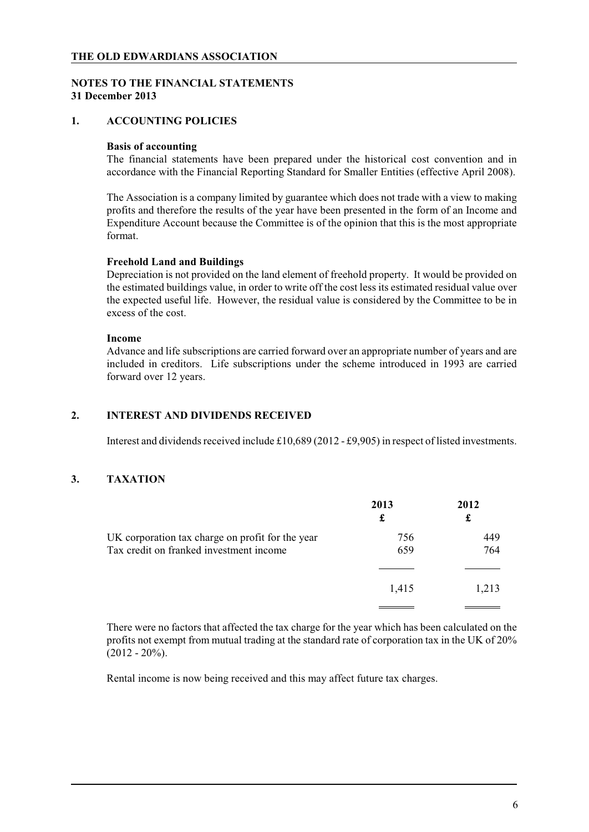## **NOTES TO THE FINANCIAL STATEMENTS 31 December 2013**

## **1. ACCOUNTING POLICIES**

#### **Basis of accounting**

The financial statements have been prepared under the historical cost convention and in accordance with the Financial Reporting Standard for Smaller Entities (effective April 2008).

The Association is a company limited by guarantee which does not trade with a view to making profits and therefore the results of the year have been presented in the form of an Income and Expenditure Account because the Committee is of the opinion that this is the most appropriate format.

#### **Freehold Land and Buildings**

Depreciation is not provided on the land element of freehold property. It would be provided on the estimated buildings value, in order to write off the cost less its estimated residual value over the expected useful life. However, the residual value is considered by the Committee to be in excess of the cost.

#### **Income**

Advance and life subscriptions are carried forward over an appropriate number of years and are included in creditors. Life subscriptions under the scheme introduced in 1993 are carried forward over 12 years.

#### **2. INTEREST AND DIVIDENDS RECEIVED**

Interest and dividends received include £10,689 (2012 - £9,905) in respect of listed investments.

## **3. TAXATION**

|                                                  | 2013<br>£ | 2012<br>£ |
|--------------------------------------------------|-----------|-----------|
| UK corporation tax charge on profit for the year | 756       | 449       |
| Tax credit on franked investment income          | 659       | 764       |
|                                                  |           |           |
|                                                  | 1,415     | 1,213     |
|                                                  |           |           |

There were no factors that affected the tax charge for the year which has been calculated on the profits not exempt from mutual trading at the standard rate of corporation tax in the UK of 20%  $(2012 - 20\%)$ .

Rental income is now being received and this may affect future tax charges.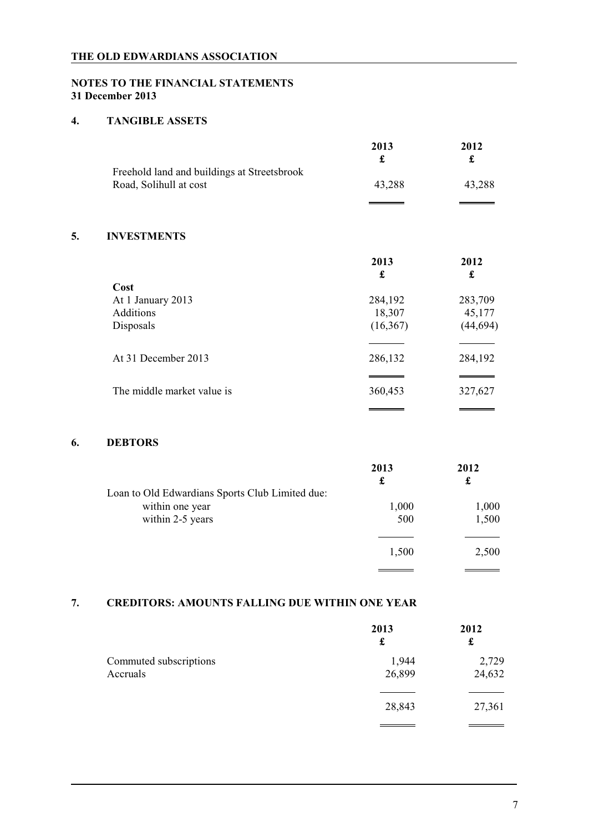# **NOTES TO THE FINANCIAL STATEMENTS 31 December 2013**

## **4. TANGIBLE ASSETS**

|    |                                                                       | 2013<br>£ | 2012<br>£ |
|----|-----------------------------------------------------------------------|-----------|-----------|
|    | Freehold land and buildings at Streetsbrook<br>Road, Solihull at cost | 43,288    | 43,288    |
|    |                                                                       |           |           |
| 5. | <b>INVESTMENTS</b>                                                    |           |           |
|    |                                                                       | 2013<br>£ | 2012<br>£ |
|    | Cost                                                                  |           |           |
|    | At 1 January 2013                                                     | 284,192   | 283,709   |
|    | <b>Additions</b>                                                      | 18,307    | 45,177    |
|    | Disposals                                                             | (16,367)  | (44, 694) |
|    |                                                                       |           |           |
|    | At 31 December 2013                                                   | 286,132   | 284,192   |
|    |                                                                       |           |           |
|    | The middle market value is                                            | 360,453   | 327,627   |
|    |                                                                       |           |           |

## **6. DEBTORS**

|                                                 | 2013  | 2012  |
|-------------------------------------------------|-------|-------|
|                                                 | £     | £     |
| Loan to Old Edwardians Sports Club Limited due: |       |       |
| within one year                                 | 1,000 | 1,000 |
| within 2-5 years                                | 500   | 1,500 |
|                                                 |       |       |
|                                                 | 1,500 | 2,500 |
|                                                 |       |       |

## **7. CREDITORS: AMOUNTS FALLING DUE WITHIN ONE YEAR**

|                                    | 2013<br>£       | 2012<br>£       |
|------------------------------------|-----------------|-----------------|
| Commuted subscriptions<br>Accruals | 1,944<br>26,899 | 2,729<br>24,632 |
|                                    | 28,843          | 27,361          |